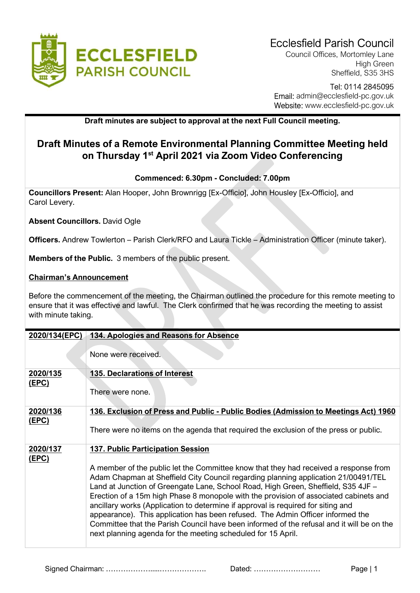

Council Offices, Mortomley Lane High Green Sheffield, S35 3HS

## Tel: 0114 2845095 Email: admin@ecclesfield-pc.gov.uk Website: www.ecclesfield-pc.gov.uk

## Draft minutes are subject to approval at the next Full Council meeting.

# Draft Minutes of a Remote Environmental Planning Committee Meeting held on Thursday 1<sup>st</sup> April 2021 via Zoom Video Conferencing

### Commenced: 6.30pm - Concluded: 7.00pm

Councillors Present: Alan Hooper, John Brownrigg [Ex-Officio], John Housley [Ex-Officio], and Carol Levery.

Absent Councillors. David Ogle

Officers. Andrew Towlerton – Parish Clerk/RFO and Laura Tickle – Administration Officer (minute taker).

Members of the Public. 3 members of the public present.

#### Chairman's Announcement

Before the commencement of the meeting, the Chairman outlined the procedure for this remote meeting to ensure that it was effective and lawful. The Clerk confirmed that he was recording the meeting to assist with minute taking.

| 2020/134(EPC)            | 134. Apologies and Reasons for Absence                                                                                                                                                                                                                                                                                                                                                                                                                                                                                                                                                                                                                                                                                                  |
|--------------------------|-----------------------------------------------------------------------------------------------------------------------------------------------------------------------------------------------------------------------------------------------------------------------------------------------------------------------------------------------------------------------------------------------------------------------------------------------------------------------------------------------------------------------------------------------------------------------------------------------------------------------------------------------------------------------------------------------------------------------------------------|
|                          | None were received.                                                                                                                                                                                                                                                                                                                                                                                                                                                                                                                                                                                                                                                                                                                     |
| 2020/135<br><u>(EPC)</u> | <b>135. Declarations of Interest</b><br>There were none.                                                                                                                                                                                                                                                                                                                                                                                                                                                                                                                                                                                                                                                                                |
| 2020/136<br><u>(EPC)</u> | 136. Exclusion of Press and Public - Public Bodies (Admission to Meetings Act) 1960<br>There were no items on the agenda that required the exclusion of the press or public.                                                                                                                                                                                                                                                                                                                                                                                                                                                                                                                                                            |
| 2020/137<br><u>(EPC)</u> | <b>137. Public Participation Session</b><br>A member of the public let the Committee know that they had received a response from<br>Adam Chapman at Sheffield City Council regarding planning application 21/00491/TEL<br>Land at Junction of Greengate Lane, School Road, High Green, Sheffield, S35 4JF -<br>Erection of a 15m high Phase 8 monopole with the provision of associated cabinets and<br>ancillary works (Application to determine if approval is required for siting and<br>appearance). This application has been refused. The Admin Officer informed the<br>Committee that the Parish Council have been informed of the refusal and it will be on the<br>next planning agenda for the meeting scheduled for 15 April. |

Signed Chairman: ……………….....………………. Dated: ……………………… Page | 1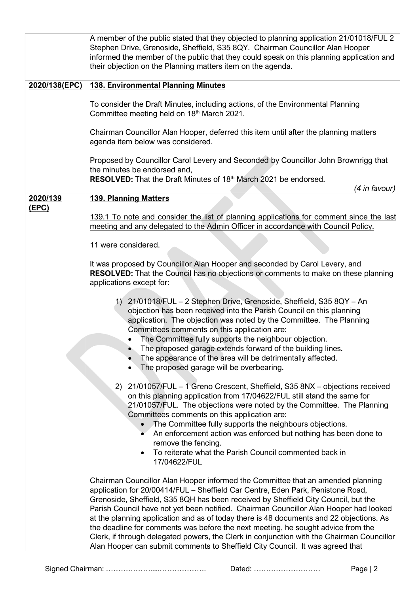|                          | A member of the public stated that they objected to planning application 21/01018/FUL 2<br>Stephen Drive, Grenoside, Sheffield, S35 8QY. Chairman Councillor Alan Hooper<br>informed the member of the public that they could speak on this planning application and<br>their objection on the Planning matters item on the agenda.                                                                                                                                                                                                                                                                                                                                                                            |
|--------------------------|----------------------------------------------------------------------------------------------------------------------------------------------------------------------------------------------------------------------------------------------------------------------------------------------------------------------------------------------------------------------------------------------------------------------------------------------------------------------------------------------------------------------------------------------------------------------------------------------------------------------------------------------------------------------------------------------------------------|
| 2020/138(EPC)            | <b>138. Environmental Planning Minutes</b>                                                                                                                                                                                                                                                                                                                                                                                                                                                                                                                                                                                                                                                                     |
|                          | To consider the Draft Minutes, including actions, of the Environmental Planning<br>Committee meeting held on 18th March 2021.                                                                                                                                                                                                                                                                                                                                                                                                                                                                                                                                                                                  |
|                          | Chairman Councillor Alan Hooper, deferred this item until after the planning matters<br>agenda item below was considered.                                                                                                                                                                                                                                                                                                                                                                                                                                                                                                                                                                                      |
|                          | Proposed by Councillor Carol Levery and Seconded by Councillor John Brownrigg that<br>the minutes be endorsed and,<br>RESOLVED: That the Draft Minutes of 18th March 2021 be endorsed.                                                                                                                                                                                                                                                                                                                                                                                                                                                                                                                         |
|                          | (4 in favour)                                                                                                                                                                                                                                                                                                                                                                                                                                                                                                                                                                                                                                                                                                  |
| 2020/139<br><u>(EPC)</u> | <b>139. Planning Matters</b>                                                                                                                                                                                                                                                                                                                                                                                                                                                                                                                                                                                                                                                                                   |
|                          | 139.1 To note and consider the list of planning applications for comment since the last<br>meeting and any delegated to the Admin Officer in accordance with Council Policy.                                                                                                                                                                                                                                                                                                                                                                                                                                                                                                                                   |
|                          | 11 were considered.                                                                                                                                                                                                                                                                                                                                                                                                                                                                                                                                                                                                                                                                                            |
|                          | It was proposed by Councillor Alan Hooper and seconded by Carol Levery, and<br><b>RESOLVED:</b> That the Council has no objections or comments to make on these planning<br>applications except for:                                                                                                                                                                                                                                                                                                                                                                                                                                                                                                           |
|                          | 1) 21/01018/FUL - 2 Stephen Drive, Grenoside, Sheffield, S35 8QY - An<br>objection has been received into the Parish Council on this planning<br>application. The objection was noted by the Committee. The Planning<br>Committees comments on this application are:<br>The Committee fully supports the neighbour objection.<br>The proposed garage extends forward of the building lines.<br>The appearance of the area will be detrimentally affected.<br>The proposed garage will be overbearing.                                                                                                                                                                                                          |
|                          | 2)<br>21/01057/FUL – 1 Greno Crescent, Sheffield, S35 8NX – objections received<br>on this planning application from 17/04622/FUL still stand the same for<br>21/01057/FUL. The objections were noted by the Committee. The Planning<br>Committees comments on this application are:<br>The Committee fully supports the neighbours objections.<br>An enforcement action was enforced but nothing has been done to<br>$\overline{\bullet}$<br>remove the fencing.<br>To reiterate what the Parish Council commented back in<br>17/04622/FUL                                                                                                                                                                    |
|                          | Chairman Councillor Alan Hooper informed the Committee that an amended planning<br>application for 20/00414/FUL - Sheffield Car Centre, Eden Park, Penistone Road,<br>Grenoside, Sheffield, S35 8QH has been received by Sheffield City Council, but the<br>Parish Council have not yet been notified. Chairman Councillor Alan Hooper had looked<br>at the planning application and as of today there is 48 documents and 22 objections. As<br>the deadline for comments was before the next meeting, he sought advice from the<br>Clerk, if through delegated powers, the Clerk in conjunction with the Chairman Councillor<br>Alan Hooper can submit comments to Sheffield City Council. It was agreed that |